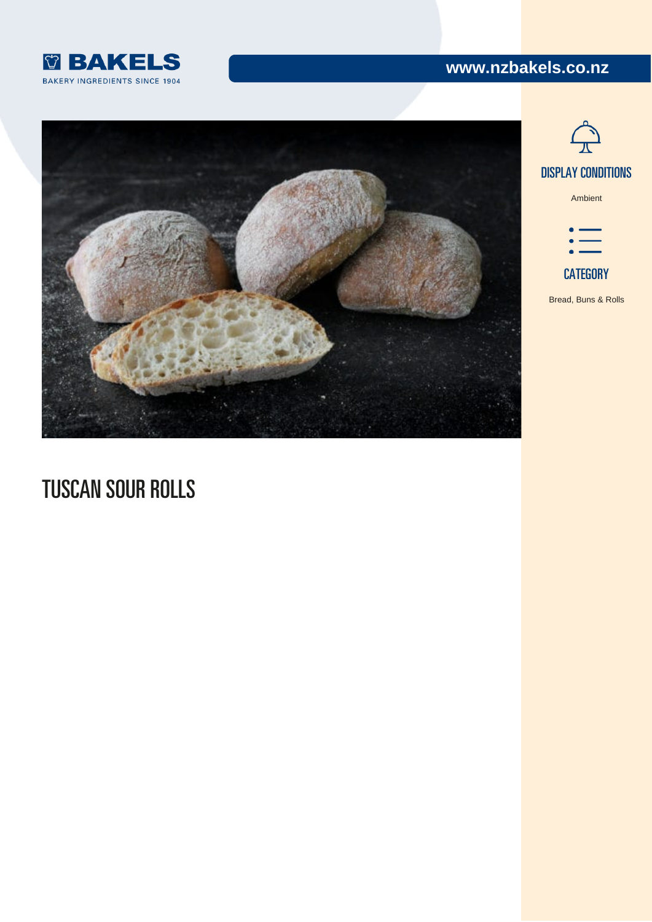# www.nzbakels.co.nz



[Ambient](https://www.nzbakels.co.nz/recipes/?display-condition[]=6889)

### CATEGO

[Bread, Buns & Rolls](https://www.nzbakels.co.nz/recipe-category/bread-rolls-artisan/)

# TUSCAN SOUR ROLLS